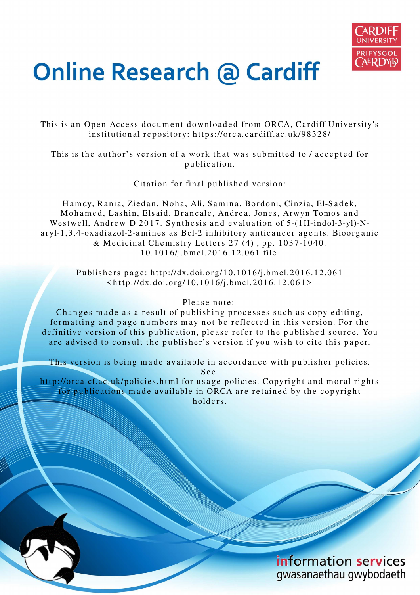

# **Online Research @ Cardiff**

This is an Open Access document downloaded from ORCA, Cardiff University's institutional repository: https://orca.cardiff.ac.uk/98328/

This is the author's version of a work that was submitted to / accepted for p u blication.

Citation for final published version:

Hamdy, Rania, Ziedan, Noha, Ali, Samina, Bordoni, Cinzia, El-Sadek, Mohamed, Lashin, Elsaid, Brancale, Andrea, Jones, Arwyn Tomos and Westwell, Andrew D 2017. Synthesis and evaluation of 5-(1H-indol-3-yl)-Naryl-1,3,4-oxadiazol-2-amines as Bcl-2 inhibitory anticancer agents. Bioorganic & Medicinal Chemistry Letters  $27(4)$ , pp. 1037-1040. 1 0.1 0 1 6/j.b m cl.201 6.1 2.0 61 file

> Publishers page: http://dx.doi.org/10.1016/j.bmcl.2016.12.061  $\langle \text{http://dx.doi.org/10.1016/j.bmcl.2016.12.061>}$

#### Please note:

Changes made as a result of publishing processes such as copy-editing, formatting and page numbers may not be reflected in this version. For the definitive version of this publication, please refer to the published source. You are advised to consult the publisher's version if you wish to cite this paper.

This version is being made available in accordance with publisher policies. S e e

http://orca.cf.ac.uk/policies.html for usage policies. Copyright and moral rights for publications made available in ORCA are retained by the copyright holders.

> information services gwasanaethau gwybodaeth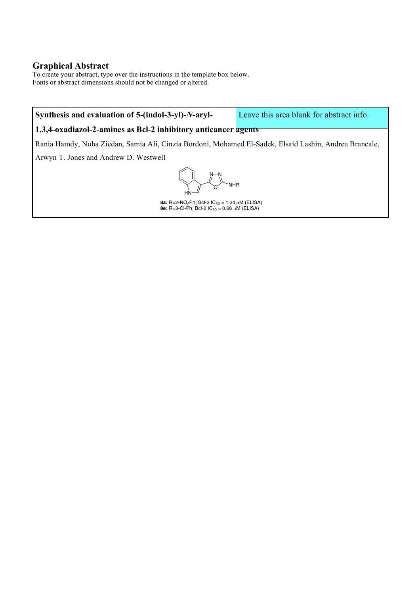## **Graphical Abstract**

To create your abstract, type over the instructions in the template box below. Fonts or abstract dimensions should not be changed or altered.

# **Synthesis and evaluation of 5-(indol-3-yl)-***N***-aryl-**

Leave this area blank for abstract info.

### **1,3,4-oxadiazol-2-amines as Bcl-2 inhibitory anticancer agents**

Rania Hamdy, Noha Ziedan, Samia Ali, Cinzia Bordoni, Mohamed El-Sadek, Elsaid Lashin, Andrea Brancale,

Arwyn T. Jones and Andrew D. Westwell

**NHR** 

**8a:** R=2-NO<sub>2</sub>Ph; Bcl-2 IC<sub>50</sub> = 1.24 µM (ELISA)<br>**8e:** R=3-Cl-Ph; Bcl-2 IC<sub>50</sub> = 0.66 µM (ELISA)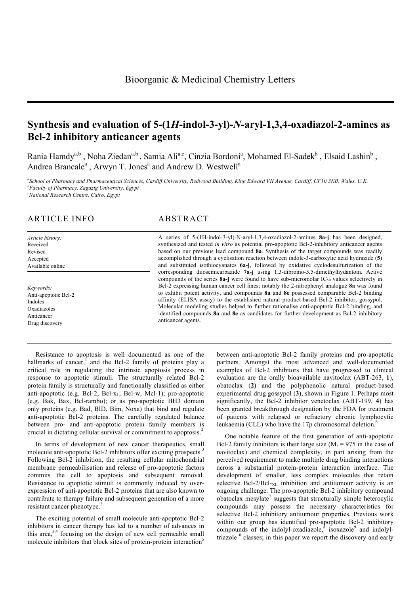# **Synthesis and evaluation of 5-(1***H***-indol-3-yl)-***N***-aryl-1,3,4-oxadiazol-2-amines as Bcl-2 inhibitory anticancer agents**

Rania Hamdy<sup>a,b</sup>, Noha Ziedan<sup>a,b</sup>, Samia Ali<sup>a,c</sup>, Cinzia Bordoni<sup>a</sup>, Mohamed El-Sadek<sup>b</sup>, Elsaid Lashin<sup>b</sup>, Andrea Brancale<sup>a</sup>, Arwyn T. Jones<sup>a</sup> and Andrew D. Westwell<sup>a</sup>

*a School of Pharmacy and Pharmaceutical Sciences, Cardiff University, Redwood Building, King Edward VII Avenue, Cardiff, CF10 3NB, Wales, U.K. <sup>b</sup>Faculty of Pharmacy, Zagazig University, Egypt <sup>c</sup>National Research Centre, Cairo, Egypt*

#### ARTICLE INFO ABSTRACT

- *Article history:* Received Revised Accepted Available online
- *Keywords:* Anti-apoptotic Bcl-2 Indoles Oxadiazoles Anticancer Drug discovery

A series of 5-(1H-indol-3-yl)-N-aryl-1,3,4-oxadiazol-2-amines **8a-j** has been designed, synthesized and tested *in vitro* as potential pro-apoptotic Bcl-2-inhibitory anticancer agents based on our previous lead compound **8a**. Synthesis of the target compounds was readily accomplished through a cyclisation reaction between indole-3-carboxylic acid hydrazide (**5**) and substituted isothiocyanates **6a-j**, followed by oxidative cyclodesulfurization of the corresponding thiosemicarbazide **7a-j** using 1,3-dibromo-5,5-dimethylhydantoin. Active compounds of the series 8a-j were found to have sub-micromolar IC<sub>50</sub> values selectively in Bcl-2 expressing human cancer cell lines; notably the 2-nitrophenyl analogue **8a** was found to exhibit potent activity, and compounds **8a** and **8e** possessed comparable Bcl-2 binding affinity (ELISA assay) to the established natural product-based Bcl-2 inhibitor, gossypol. Molecular modeling studies helped to further rationalise anti-apoptotic Bcl-2 binding, and identified compounds **8a** and **8e** as candidates for further development as Bcl-2 inhibitory anticancer agents.

Resistance to apoptosis is well documented as one of the hallmarks of cancer, and the Bcl-2 family of proteins play a critical role in regulating the intrinsic apoptosis process in response to apoptotic stimuli. The structurally related Bcl-2 protein family is structurally and functionally classified as either anti-apoptotic (e.g. Bcl-2, Bcl- $x_L$ , Bcl-w, Mcl-1); pro-apoptotic (e.g. Bak, Bax, Bcl-rambo); or as pro-apoptotic BH3 domain only proteins (e.g. Bad, BID, Bim, Noxa) that bind and regulate anti-apoptotic Bcl-2 proteins. The carefully regulated balance between pro- and anti-apoptotic protein family members is crucial in dictating cellular survival or commitment to apoptosis.<sup>2</sup>

In terms of development of new cancer therapeutics, small molecule anti-apoptotic Bcl-2 inhibitors offer exciting prospects.<sup>3</sup> Following Bcl-2 inhibition, the resulting cellular mitochondrial membrane permeabilisation and release of pro-apoptotic factors commits the cell to apoptosis and subsequent removal. Resistance to apoptotic stimuli is commonly induced by overexpression of anti-apoptotic Bcl-2 proteins that are also known to contribute to therapy failure and subsequent generation of a more resistant cancer phenotype.<sup>2</sup>

The exciting potential of small molecule anti-apoptotic Bcl-2 inhibitors in cancer therapy has led to a number of advances in this area, $3,4$  focusing on the design of new cell permeable small molecule inhibitors that block sites of protein-protein interaction<sup>5</sup>

between anti-apoptotic Bcl-2 family proteins and pro-apoptotic partners. Amongst the most advanced and well-documented examples of Bcl-2 inhibitors that have progressed to clinical evaluation are the orally bioavailable navitoclax (ABT-263, **1**), obatoclax (**2**) and the polyphenolic natural product-based experimental drug gossypol (**3**), shown in Figure 1. Perhaps most significantly, the Bcl-2 inhibitor venetoclax (ABT-199, **4**) has been granted breakthrough designation by the FDA for treatment of patients with relapsed or refractory chronic lymphocytic leukaemia (CLL) who have the 17p chromosomal deletion.<sup>6</sup>

One notable feature of the first generation of anti-apoptotic Bcl-2 family inhibitors is their large size  $(M_r = 975$  in the case of navitoclax) and chemical complexity, in part arising from the perceived requirement to make multiple drug binding interactions across a substantial protein-protein interaction interface. The development of smaller, less complex molecules that retain selective Bcl-2/Bcl- $_{XL}$  inhibition and antitumour activity is an ongoing challenge. The pro-apoptotic Bcl-2 inhibitory compound obatoclax mesylate<sup>7</sup> suggests that structurally simple heterocylic compounds may possess the necessary characteristics for selective Bcl-2 inhibitory antitumour properties. Previous work within our group has identified pro-apoptotic Bcl-2 inhibitory compounds of the indolyl-oxadiazole, isoxazole and indolyltriazole<sup>10</sup> classes; in this paper we report the discovery and early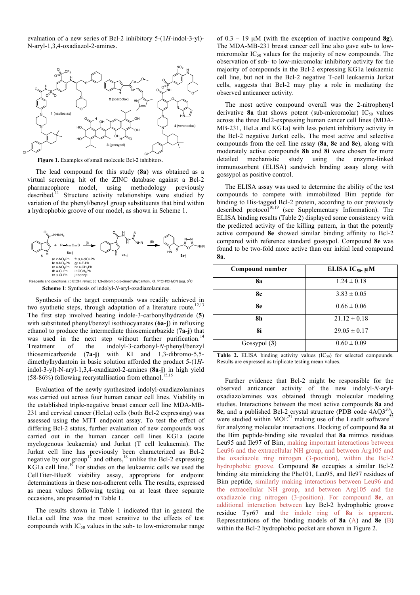evaluation of a new series of Bcl-2 inhibitory 5-(1*H*-indol-3-yl)- N-aryl-1,3,4-oxadiazol-2-amines.



Figure 1. Examples of small molecule Bcl-2 inhibitors.

The lead compound for this study (**8a**) was obtained as a virtual screening hit of the ZINC database against a Bcl-2 pharmacophore model, using methodology previously described.<sup>11</sup> Structure activity relationships were studied by variation of the phenyl/benzyl group substituents that bind within a hydrophobic groove of our model, as shown in Scheme 1.



**Scheme 1**: Synthesis of indolyl-*N*-aryl-oxadiazolamines. nts and conditions: (i) EtOH, reflux; (ii) 1,3-dibromo-5,5-dimethylhydantoin, KI, *i*PrOH/CH<sub>3</sub>CN (aq), 5<sup>0</sup>C

Synthesis of the target compounds was readily achieved in two synthetic steps, through adaptation of a literature route.<sup>12,13</sup> The first step involved heating indole-3-carbonylhydrazide (**5**) with substituted phenyl/benzyl isothiocyanates (**6a-j**) in refluxing ethanol to produce the intermediate thiosemicarbazide (**7a-j**) that was used in the next step without further purification.<sup>14</sup> Treatment of the indolyl-3-carbonyl-*N*-phenyl/benzyl thiosemicarbazide (**7a-j**) with KI and 1,3-dibromo-5,5 dimethylhydantoin in basic solution afforded the product 5-(1*H*indol-3-yl)-N-aryl-1,3,4-oxadiazol-2-amines (**8a-j**) in high yield  $(58-86%)$  following recrystallisation from ethanol.

Evaluation of the newly synthesized indolyl-oxadiazolamines was carried out across four human cancer cell lines. Viability in the established triple-negative breast cancer cell line MDA-MB-231 and cervical cancer (HeLa) cells (both Bcl-2 expressing) was assessed using the MTT endpoint assay. To test the effect of differing Bcl-2 status, further evaluation of new compounds was carried out in the human cancer cell lines KG1a (acute myelogenous leukaemia) and Jurkat (T cell leukaemia). The Jurkat cell line has previously been characterized as Bcl-2 negative by our group<sup>17</sup> and others,<sup>18</sup> unlike the Bcl-2 expressing KG1a cell line.<sup>19</sup> For studies on the leukaemic cells we used the CellTiter-Blue® viability assay, appropriate for endpoint determinations in these non-adherent cells. The results, expressed as mean values following testing on at least three separate occasions, are presented in Table 1.

The results shown in Table 1 indicated that in general the HeLa cell line was the most sensitive to the effects of test compounds with  $IC_{50}$  values in the sub- to low-micromolar range

of 0.3 – 19 µM (with the exception of inactive compound **8g**). The MDA-MB-231 breast cancer cell line also gave sub- to lowmicromolar  $IC_{50}$  values for the majority of new compounds. The observation of sub- to low-micromolar inhibitory activity for the majority of compounds in the Bcl-2 expressing KG1a leukaemic cell line, but not in the Bcl-2 negative T-cell leukaemia Jurkat cells, suggests that Bcl-2 may play a role in mediating the observed anticancer activity.

The most active compound overall was the 2-nitrophenyl derivative  $8a$  that shows potent (sub-micromolar) IC<sub>50</sub> values across the three Bcl2-expressing human cancer cell lines (MDA-MB-231, HeLa and KG1a) with less potent inhibitory activity in the Bcl-2 negative Jurkat cells. The most active and selective compounds from the cell line assay (**8a**, **8c** and **8e**), along with moderately active compounds **8h** and **8i** were chosen for more detailed mechanistic study using the enzyme-linked immunosorbent (ELISA) sandwich binding assay along with gossypol as positive control.

The ELISA assay was used to determine the ability of the test compounds to compete with immobilized Bim peptide for binding to His-tagged Bcl-2 protein, according to our previously described protocol<sup>10,19</sup> (see Supplementary Information). The ELISA binding results (Table 2) displayed some consistency with the predicted activity of the killing pattern, in that the potently active compound **8e** showed similar binding affinity to Bcl-2 compared with reference standard gossypol. Compound **8e** was found to be two-fold more active than our initial lead compound **8a**.

| Compound number | ELISA $IC_{50}$ , $\mu$ M |
|-----------------|---------------------------|
| 8a              | $1.24 \pm 0.18$           |
| 8с              | $3.83 \pm 0.05$           |
| 8e              | $0.66 \pm 0.06$           |
| 8h              | $21.12 \pm 0.18$          |
| 8i              | $29.05 \pm 0.17$          |
| Gossypol $(3)$  | $0.60 \pm 0.09$           |

**Table 2.** ELISA binding activity values  $(IC_{50})$  for selected compounds. Results are expressed as triplicate testing mean values.

Further evidence that Bcl-2 might be responsible for the observed anticancer activity of the new indolyl-*N*-aryloxadiazolamines was obtained through molecular modeling studies. Interactions between the most active compounds **8a** and **8e**, and a published Bcl-2 crystal structure (PDB code 4AQ3<sup>20</sup>), were studied within  $\text{MOE}^{21}$  making use of the LeadIt software<sup>22</sup> for analyzing molecular interactions. Docking of compound **8a** at the Bim peptide-binding site revealed that **8a** mimics residues Leu95 and Ile97 of Bim, making important interactions between Leu96 and the extracellular NH group, and between Arg105 and the oxadiazole ring nitrogen (3-position), within the Bcl-2 hydrophobic groove. Compound **8e** occupies a similar Bcl-2 binding site mimicking the Phe101, Leu95, and Ile97 residues of Bim peptide, similarly making interactions between Leu96 and the extracellular NH group, and between Arg105 and the oxadiazole ring nitrogen (3-position). For compound **8e**, an additional interaction between key Bcl-2 hydrophobic groove residue Tyr67 and the indole ring of **8a** is apparent. Representations of the binding models of **8a** (A) and **8e** (B) within the Bcl-2 hydrophobic pocket are shown in Figure 2.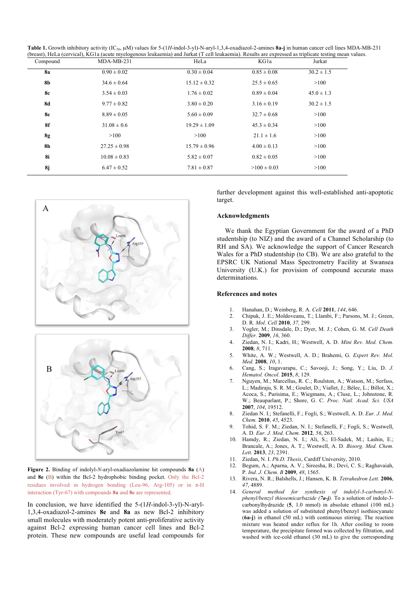Table 1. Growth inhibitory activity (IC<sub>50</sub>, uM) values for 5-(1*H*-indol-3-yl)-N-aryl-1,3,4-oxadiazol-2-amines 8a-j in human cancer cell lines MDA-MB-231 (breast), HeLa (cervical), KG1a (acute myelogenous leukaemia) and Jurkat (T cell leukaemia). Results are expressed as triplicate testing mean values.

| Jurkat         |
|----------------|
| $30.2 \pm 1.5$ |
| >100           |
| $45.0 \pm 1.3$ |
| $30.2 \pm 1.5$ |
| >100           |
| >100           |
| >100           |
| >100           |
| >100           |
| >100           |
|                |





**Figure 2.** Binding of indolyl-*N*-aryl-oxadiazolamine hit compounds **8a** (A) and **8e** (B) within the Bcl-2 hydrophobic binding pocket. Only the Bcl-2 residues involved in hydrogen bonding (Leu-96, Arg-105) or in π-H interaction (Tyr-67) with compounds **8a** and **8e** are represented.

In conclusion, we have identified the 5-(1*H*-indol-3-yl)-N-aryl-1,3,4-oxadiazol-2-amines **8e** and **8a** as new Bcl-2 inhibitory small molecules with moderately potent anti-proliferative activity against Bcl-2 expressing human cancer cell lines and Bcl-2 protein. These new compounds are useful lead compounds for

further development against this well-established anti-apoptotic target.

#### **Acknowledgments**

We thank the Egyptian Government for the award of a PhD studentship (to NIZ) and the award of a Channel Scholarship (to RH and SA). We acknowledge the support of Cancer Research Wales for a PhD studentship (to CB). We are also grateful to the EPSRC UK National Mass Spectrometry Facility at Swansea University (U.K.) for provision of compound accurate mass determinations.

#### **References and notes**

- 1. Hanahan, D.; Weinberg, R. A. *Cell* **2011**, *144*, 646.
- 2. Chipuk, J. E.; Moldoveanu, T.; Llambi, F.; Parsons, M. J.; Green, D. R. *Mol. Cell* **2010**, *37,* 299.
- 3. Vogler, M.; Dinsdale, D.; Dyer, M. J.; Cohen, G. M. *Cell Death Differ.* **2009**, *16*, 360.
- 4. Ziedan, N. I.; Kadri, H.; Westwell, A. D. *Mini Rev. Med. Chem.* **2008**, *8*, 711.
- 5. White, A. W.; Westwell, A. D.; Brahemi, G. *Expert Rev. Mol. Med.* **2008**, *10*, 1.
- 6. Cang, S.; Iragavarapu, C.; Savooji, J.; Song, Y.; Liu, D. *J. Hematol. Oncol.* **2015**, *8*, 129.
- 7. Nguyen, M.; Marcellus, R. C.; Roulston, A.; Watson, M.; Serfass, L.; Madiraju, S. R. M.; Goulet, D.; Viallet, J.; Bélec, L.; Billot, X.; Acoca, S.; Purisima, E.; Wiegmans, A.; Cluse, L.; Johnstone, R. W.; Beauparlant, P.; Shore, G. C. *Proc. Natl. Acad. Sci. USA* **2007**, *104*, 19512.
- 8. Ziedan N. I.; Stefanelli, F.; Fogli, S.; Westwell, A. D. *Eur. J. Med. Chem.* **2010**, *45*, 4523.
- 9. Tohid, S. F. M.; Ziedan, N. I.; Stefanelli, F.; Fogli, S.; Westwell, A. D. *Eur. J. Med. Chem.* **2012**, *56*, 263.
- 10. Hamdy, R.; Ziedan, N. I.; Ali, S.; El-Sadek, M.; Lashin, E.; Brancale, A.; Jones, A. T.; Westwell, A. D. *Bioorg. Med. Chem. Lett.* **2013**, *23*, 2391.
- 11. Ziedan, N. I. *Ph.D. Thesis*, Cardiff University, 2010.
- 12. Begum, A.; Aparna, A. V.; Sireesha, B.; Devi, C. S.; Raghavaiah, P. *Ind. J. Chem. B* **2009**, *48*, 1565.
- 13. Rivera, N. R.; Balshells, J.; Hansen, K. B. *Tetrahedron Lett.* **2006**, *47*, 4889.
- 14. *General method for synthesis of indolyl-3-carbonyl-Nphenyl/benzyl thiosemicarbazide (7a-j).* To a solution of indole-3 carbonylhydrazide (**5**, 1.0 mmol) in absolute ethanol (100 mL) was added a solution of substituted phenyl/benzyl isothiocyanate (**6a-j**) in ethanol (50 mL) with continuous stirring. The reaction mixture was heated under reflux for 1h. After cooling to room temperature, the precipitate formed was collected by filtration, and washed with ice-cold ethanol (30 mL) to give the corresponding